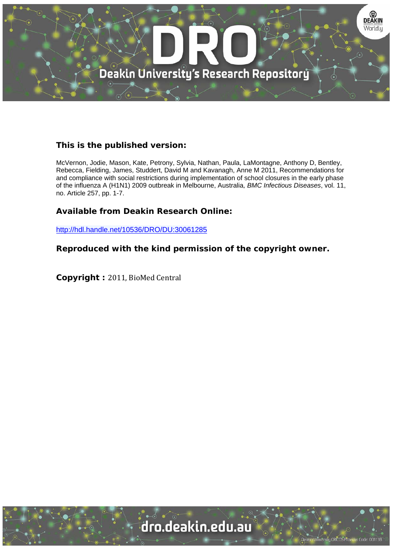

# **This is the published version:**

McVernon, Jodie, Mason, Kate, Petrony, Sylvia, Nathan, Paula, LaMontagne, Anthony D, Bentley, Rebecca, Fielding, James, Studdert, David M and Kavanagh, Anne M 2011, Recommendations for and compliance with social restrictions during implementation of school closures in the early phase of the influenza A (H1N1) 2009 outbreak in Melbourne, Australia*, BMC Infectious Diseases*, vol. 11, no. Article 257, pp. 1-7.

# **Available from Deakin Research Online:**

http://hdl.handle.net/10536/DRO/DU:30061285

# **Reproduced with the kind permission of the copyright owner.**

**Copyright : 2011, BioMed Central** 

University CRICOS Provider Code: 00113E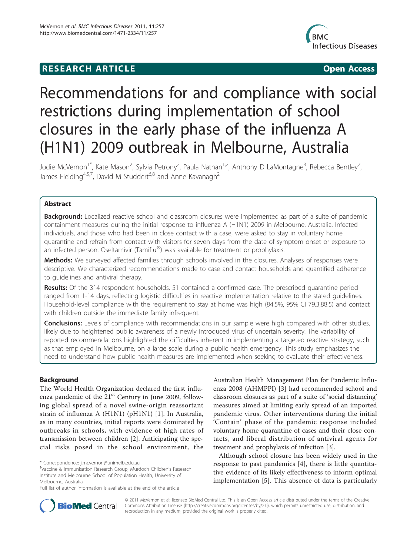# **RESEARCH ARTICLE Example 2018 CONSIDERING ACCESS**



# Recommendations for and compliance with social restrictions during implementation of school closures in the early phase of the influenza A (H1N1) 2009 outbreak in Melbourne, Australia

Jodie McVernon<sup>1\*</sup>, Kate Mason<sup>2</sup>, Sylvia Petrony<sup>2</sup>, Paula Nathan<sup>1,2</sup>, Anthony D LaMontagne<sup>3</sup>, Rebecca Bentley<sup>2</sup> , James Fielding<sup>4,5,7</sup>, David M Studdert<sup>6,8</sup> and Anne Kavanagh<sup>2</sup>

# Abstract

**Background:** Localized reactive school and classroom closures were implemented as part of a suite of pandemic containment measures during the initial response to influenza A (H1N1) 2009 in Melbourne, Australia. Infected individuals, and those who had been in close contact with a case, were asked to stay in voluntary home quarantine and refrain from contact with visitors for seven days from the date of symptom onset or exposure to an infected person. Oseltamivir  $(Tamiflu^{\mathfrak{B}})$  was available for treatment or prophylaxis.

Methods: We surveyed affected families through schools involved in the closures. Analyses of responses were descriptive. We characterized recommendations made to case and contact households and quantified adherence to guidelines and antiviral therapy.

Results: Of the 314 respondent households, 51 contained a confirmed case. The prescribed quarantine period ranged from 1-14 days, reflecting logistic difficulties in reactive implementation relative to the stated guidelines. Household-level compliance with the requirement to stay at home was high (84.5%, 95% CI 79.3,88.5) and contact with children outside the immediate family infrequent.

**Conclusions:** Levels of compliance with recommendations in our sample were high compared with other studies, likely due to heightened public awareness of a newly introduced virus of uncertain severity. The variability of reported recommendations highlighted the difficulties inherent in implementing a targeted reactive strategy, such as that employed in Melbourne, on a large scale during a public health emergency. This study emphasizes the need to understand how public health measures are implemented when seeking to evaluate their effectiveness.

# **Background**

The World Health Organization declared the first influenza pandemic of the  $21^{st}$  Century in June 2009, following global spread of a novel swine-origin reassortant strain of influenza A (H1N1) (pH1N1) [[1\]](#page-7-0). In Australia, as in many countries, initial reports were dominated by outbreaks in schools, with evidence of high rates of transmission between children [[2](#page-7-0)]. Anticipating the special risks posed in the school environment, the

Australian Health Management Plan for Pandemic Influenza 2008 (AHMPPI) [\[3](#page-7-0)] had recommended school and classroom closures as part of a suite of 'social distancing' measures aimed at limiting early spread of an imported pandemic virus. Other interventions during the initial 'Contain' phase of the pandemic response included voluntary home quarantine of cases and their close contacts, and liberal distribution of antiviral agents for treatment and prophylaxis of infection [\[3](#page-7-0)].

Although school closure has been widely used in the response to past pandemics [[4\]](#page-7-0), there is little quantitative evidence of its likely effectiveness to inform optimal implementation [\[5](#page-7-0)]. This absence of data is particularly



© 2011 McVernon et al; licensee BioMed Central Ltd. This is an Open Access article distributed under the terms of the Creative Commons Attribution License [\(http://creativecommons.org/licenses/by/2.0](http://creativecommons.org/licenses/by/2.0)), which permits unrestricted use, distribution, and reproduction in any medium, provided the original work is properly cited.

<sup>\*</sup> Correspondence: [j.mcvernon@unimelb.edu.au](mailto:j.mcvernon@unimelb.edu.au)

<sup>&</sup>lt;sup>1</sup>Vaccine & Immunisation Research Group, Murdoch Children's Research Institute and Melbourne School of Population Health, University of Melbourne, Australia

Full list of author information is available at the end of the article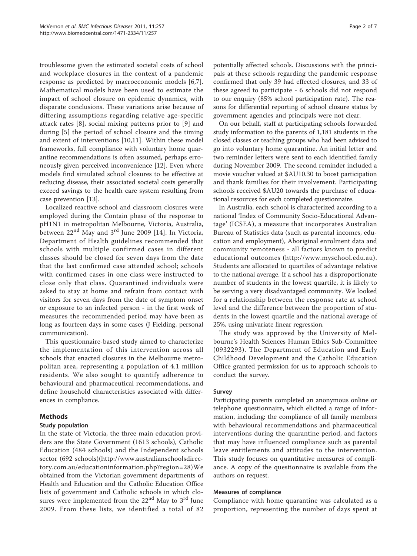troublesome given the estimated societal costs of school and workplace closures in the context of a pandemic response as predicted by macroeconomic models [[6,7](#page-7-0)]. Mathematical models have been used to estimate the impact of school closure on epidemic dynamics, with disparate conclusions. These variations arise because of differing assumptions regarding relative age-specific attack rates [\[8](#page-7-0)], social mixing patterns prior to [\[9](#page-7-0)] and during [\[5](#page-7-0)] the period of school closure and the timing and extent of interventions [[10,11\]](#page-7-0). Within these model frameworks, full compliance with voluntary home quarantine recommendations is often assumed, perhaps erroneously given perceived inconvenience [[12\]](#page-7-0). Even where models find simulated school closures to be effective at reducing disease, their associated societal costs generally exceed savings to the health care system resulting from case prevention [[13\]](#page-7-0).

Localized reactive school and classroom closures were employed during the Contain phase of the response to pH1N1 in metropolitan Melbourne, Victoria, Australia, between  $22^{nd}$  May and  $3^{rd}$  June 2009 [[14\]](#page-7-0). In Victoria, Department of Health guidelines recommended that schools with multiple confirmed cases in different classes should be closed for seven days from the date that the last confirmed case attended school; schools with confirmed cases in one class were instructed to close only that class. Quarantined individuals were asked to stay at home and refrain from contact with visitors for seven days from the date of symptom onset or exposure to an infected person - in the first week of measures the recommended period may have been as long as fourteen days in some cases (J Fielding, personal communication).

This questionnaire-based study aimed to characterize the implementation of this intervention across all schools that enacted closures in the Melbourne metropolitan area, representing a population of 4.1 million residents. We also sought to quantify adherence to behavioural and pharmaceutical recommendations, and define household characteristics associated with differences in compliance.

# Methods

#### Study population

In the state of Victoria, the three main education providers are the State Government (1613 schools), Catholic Education (484 schools) and the Independent schools sector (692 schools)[\(http://www.australianschoolsdirec](http://www.australianschoolsdirectory.com.au/educationinformation.php?region=28)[tory.com.au/educationinformation.php?region=28\)](http://www.australianschoolsdirectory.com.au/educationinformation.php?region=28)We obtained from the Victorian government departments of Health and Education and the Catholic Education Office lists of government and Catholic schools in which closures were implemented from the  $22<sup>nd</sup>$  May to  $3<sup>rd</sup>$  June 2009. From these lists, we identified a total of 82

potentially affected schools. Discussions with the principals at these schools regarding the pandemic response confirmed that only 39 had effected closures, and 33 of these agreed to participate - 6 schools did not respond to our enquiry (85% school participation rate). The reasons for differential reporting of school closure status by government agencies and principals were not clear.

On our behalf, staff at participating schools forwarded study information to the parents of 1,181 students in the closed classes or teaching groups who had been advised to go into voluntary home quarantine. An initial letter and two reminder letters were sent to each identified family during November 2009. The second reminder included a movie voucher valued at \$AU10.30 to boost participation and thank families for their involvement. Participating schools received \$AU20 towards the purchase of educational resources for each completed questionnaire.

In Australia, each school is characterized according to a national 'Index of Community Socio-Educational Advantage' (ICSEA), a measure that incorporates Australian Bureau of Statistics data (such as parental incomes, education and employment), Aboriginal enrolment data and community remoteness - all factors known to predict educational outcomes [\(http://www.myschool.edu.au\)](http://www.myschool.edu.au). Students are allocated to quartiles of advantage relative to the national average. If a school has a disproportionate number of students in the lowest quartile, it is likely to be serving a very disadvantaged community. We looked for a relationship between the response rate at school level and the difference between the proportion of students in the lowest quartile and the national average of 25%, using univariate linear regression.

The study was approved by the University of Melbourne's Health Sciences Human Ethics Sub-Committee (0932293). The Department of Education and Early Childhood Development and the Catholic Education Office granted permission for us to approach schools to conduct the survey.

#### Survey

Participating parents completed an anonymous online or telephone questionnaire, which elicited a range of information, including: the compliance of all family members with behavioural recommendations and pharmaceutical interventions during the quarantine period, and factors that may have influenced compliance such as parental leave entitlements and attitudes to the intervention. This study focuses on quantitative measures of compliance. A copy of the questionnaire is available from the authors on request.

#### Measures of compliance

Compliance with home quarantine was calculated as a proportion, representing the number of days spent at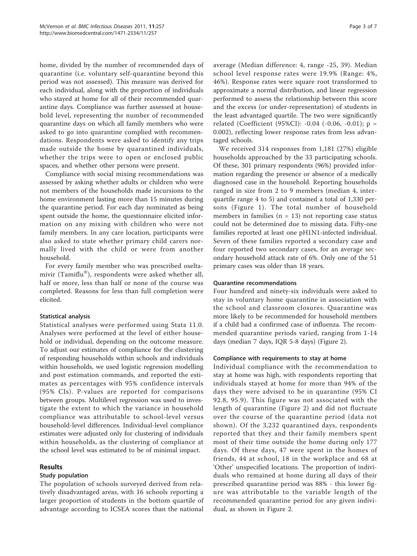home, divided by the number of recommended days of quarantine (i.e. voluntary self-quarantine beyond this period was not assessed). This measure was derived for each individual, along with the proportion of individuals who stayed at home for all of their recommended quarantine days. Compliance was further assessed at household level, representing the number of recommended quarantine days on which all family members who were asked to go into quarantine complied with recommendations. Respondents were asked to identify any trips made outside the home by quarantined individuals, whether the trips were to open or enclosed public spaces, and whether other persons were present.

Compliance with social mixing recommendations was assessed by asking whether adults or children who were not members of the households made incursions to the home environment lasting more than 15 minutes during the quarantine period. For each day nominated as being spent outside the home, the questionnaire elicited information on any mixing with children who were not family members. In any care location, participants were also asked to state whether primary child carers normally lived with the child or were from another household.

For every family member who was prescribed oseltamivir (Tamiflu®), respondents were asked whether all, half or more, less than half or none of the course was completed. Reasons for less than full completion were elicited.

# Statistical analysis

Statistical analyses were performed using Stata 11.0. Analyses were performed at the level of either household or individual, depending on the outcome measure. To adjust our estimates of compliance for the clustering of responding households within schools and individuals within households, we used logistic regression modelling and post estimation commands, and reported the estimates as percentages with 95% confidence intervals (95% CIs). P-values are reported for comparisons between groups. Multilevel regression was used to investigate the extent to which the variance in household compliance was attributable to school-level versus household-level differences. Individual-level compliance estimates were adjusted only for clustering of individuals within households, as the clustering of compliance at the school level was estimated to be of minimal impact.

# Results

# Study population

The population of schools surveyed derived from relatively disadvantaged areas, with 16 schools reporting a larger proportion of students in the bottom quartile of advantage according to ICSEA scores than the national

average (Median difference: 4, range -25, 39). Median school level response rates were 19.9% (Range: 4%, 46%). Response rates were square root transformed to approximate a normal distribution, and linear regression performed to assess the relationship between this score and the excess (or under-representation) of students in the least advantaged quartile. The two were significantly related (Coefficient (95%CI):  $-0.04$  ( $-0.06$ ,  $-0.01$ ); p = 0.002), reflecting lower response rates from less advantaged schools.

We received 314 responses from 1,181 (27%) eligible households approached by the 33 participating schools. Of these, 301 primary respondents (96%) provided information regarding the presence or absence of a medically diagnosed case in the household. Reporting households ranged in size from 2 to 9 members (median 4, interquartile range 4 to 5) and contained a total of 1,330 persons (Figure [1](#page-4-0)). The total number of household members in families ( $n = 13$ ) not reporting case status could not be determined due to missing data. Fifty-one families reported at least one pH1N1-infected individual. Seven of these families reported a secondary case and four reported two secondary cases, for an average secondary household attack rate of 6%. Only one of the 51 primary cases was older than 18 years.

#### Quarantine recommendations

Four hundred and ninety-six individuals were asked to stay in voluntary home quarantine in association with the school and classroom closures. Quarantine was more likely to be recommended for household members if a child had a confirmed case of influenza. The recommended quarantine periods varied, ranging from 1-14 days (median 7 days, IQR 5-8 days) (Figure [2](#page-4-0)).

#### Compliance with requirements to stay at home

Individual compliance with the recommendation to stay at home was high, with respondents reporting that individuals stayed at home for more than 94% of the days they were advised to be in quarantine (95% CI 92.8, 95.9). This figure was not associated with the length of quarantine (Figure [2](#page-4-0)) and did not fluctuate over the course of the quarantine period (data not shown). Of the 3,232 quarantined days, respondents reported that they and their family members spent most of their time outside the home during only 177 days. Of these days, 47 were spent in the homes of friends, 44 at school, 18 in the workplace and 68 at 'Other' unspecified locations. The proportion of individuals who remained at home during all days of their prescribed quarantine period was 88% - this lower figure was attributable to the variable length of the recommended quarantine period for any given individual, as shown in Figure [2](#page-4-0).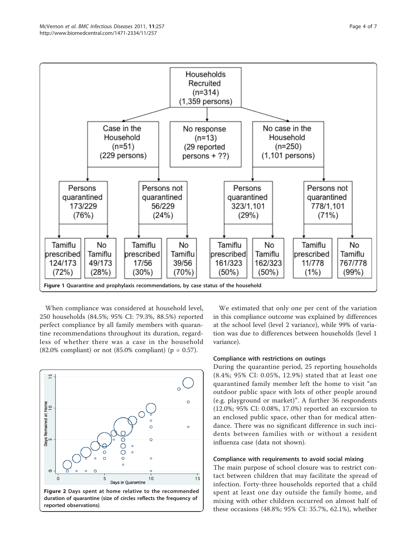<span id="page-4-0"></span>

When compliance was considered at household level, 250 households (84.5%; 95% CI: 79.3%, 88.5%) reported perfect compliance by all family members with quarantine recommendations throughout its duration, regardless of whether there was a case in the household  $(82.0\%$  compliant) or not  $(85.0\%$  compliant) (p = 0.57).



We estimated that only one per cent of the variation in this compliance outcome was explained by differences at the school level (level 2 variance), while 99% of variation was due to differences between households (level 1 variance).

#### Compliance with restrictions on outings

During the quarantine period, 25 reporting households (8.4%; 95% CI: 0.05%, 12.9%) stated that at least one quarantined family member left the home to visit "an outdoor public space with lots of other people around (e.g. playground or market)". A further 36 respondents (12.0%; 95% CI: 0.08%, 17.0%) reported an excursion to an enclosed public space, other than for medical attendance. There was no significant difference in such incidents between families with or without a resident influenza case (data not shown).

#### Compliance with requirements to avoid social mixing

The main purpose of school closure was to restrict contact between children that may facilitate the spread of infection. Forty-three households reported that a child spent at least one day outside the family home, and mixing with other children occurred on almost half of these occasions (48.8%; 95% CI: 35.7%, 62.1%), whether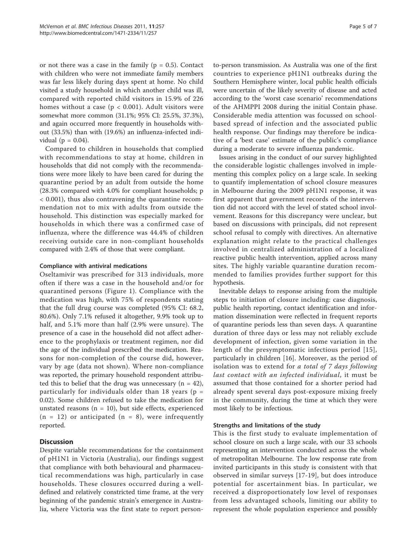or not there was a case in the family ( $p = 0.5$ ). Contact with children who were not immediate family members was far less likely during days spent at home. No child visited a study household in which another child was ill, compared with reported child visitors in 15.9% of 226 homes without a case ( $p < 0.001$ ). Adult visitors were somewhat more common (31.1%; 95% CI: 25.5%, 37.3%), and again occurred more frequently in households without (33.5%) than with (19.6%) an influenza-infected individual ( $p = 0.04$ ).

Compared to children in households that complied with recommendations to stay at home, children in households that did not comply with the recommendations were more likely to have been cared for during the quarantine period by an adult from outside the home (28.3% compared with 4.0% for compliant households; p < 0.001), thus also contravening the quarantine recommendation not to mix with adults from outside the household. This distinction was especially marked for households in which there was a confirmed case of influenza, where the difference was 44.4% of children receiving outside care in non-compliant households compared with 2.4% of those that were compliant.

### Compliance with antiviral medications

Oseltamivir was prescribed for 313 individuals, more often if there was a case in the household and/or for quarantined persons (Figure [1\)](#page-4-0). Compliance with the medication was high, with 75% of respondents stating that the full drug course was completed (95% CI: 68.2, 80.6%). Only 7.1% refused it altogether, 9.9% took up to half, and 5.1% more than half (2.9% were unsure). The presence of a case in the household did not affect adherence to the prophylaxis or treatment regimen, nor did the age of the individual prescribed the medication. Reasons for non-completion of the course did, however, vary by age (data not shown). Where non-compliance was reported, the primary household respondent attributed this to belief that the drug was unnecessary  $(n = 42)$ , particularly for individuals older than 18 years ( $p =$ 0.02). Some children refused to take the medication for unstated reasons ( $n = 10$ ), but side effects, experienced  $(n = 12)$  or anticipated  $(n = 8)$ , were infrequently reported.

# **Discussion**

Despite variable recommendations for the containment of pH1N1 in Victoria (Australia), our findings suggest that compliance with both behavioural and pharmaceutical recommendations was high, particularly in case households. These closures occurred during a welldefined and relatively constricted time frame, at the very beginning of the pandemic strain's emergence in Australia, where Victoria was the first state to report person-

to-person transmission. As Australia was one of the first countries to experience pH1N1 outbreaks during the Southern Hemisphere winter, local public health officials were uncertain of the likely severity of disease and acted according to the 'worst case scenario' recommendations of the AHMPPI 2008 during the initial Contain phase. Considerable media attention was focussed on schoolbased spread of infection and the associated public health response. Our findings may therefore be indicative of a 'best case' estimate of the public's compliance during a moderate to severe influenza pandemic.

Issues arising in the conduct of our survey highlighted the considerable logistic challenges involved in implementing this complex policy on a large scale. In seeking to quantify implementation of school closure measures in Melbourne during the 2009 pH1N1 response, it was first apparent that government records of the intervention did not accord with the level of stated school involvement. Reasons for this discrepancy were unclear, but based on discussions with principals, did not represent school refusal to comply with directives. An alternative explanation might relate to the practical challenges involved in centralized administration of a localized reactive public health intervention, applied across many sites. The highly variable quarantine duration recommended to families provides further support for this hypothesis.

Inevitable delays to response arising from the multiple steps to initiation of closure including: case diagnosis, public health reporting, contact identification and information dissemination were reflected in frequent reports of quarantine periods less than seven days. A quarantine duration of three days or less may not reliably exclude development of infection, given some variation in the length of the presymptomatic infectious period [[15\]](#page-7-0), particularly in children [[16](#page-7-0)]. Moreover, as the period of isolation was to extend for a total of 7 days following last contact with an infected individual, it must be assumed that those contained for a shorter period had already spent several days post-exposure mixing freely in the community, during the time at which they were most likely to be infectious.

#### Strengths and limitations of the study

This is the first study to evaluate implementation of school closure on such a large scale, with our 33 schools representing an intervention conducted across the whole of metropolitan Melbourne. The low response rate from invited participants in this study is consistent with that observed in similar surveys [[17](#page-7-0)-[19\]](#page-7-0), but does introduce potential for ascertainment bias. In particular, we received a disproportionately low level of responses from less advantaged schools, limiting our ability to represent the whole population experience and possibly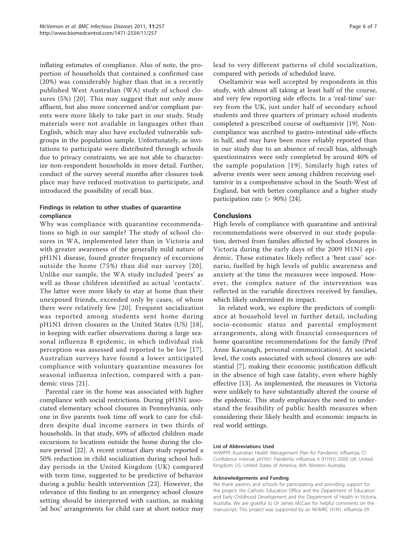inflating estimates of compliance. Also of note, the proportion of households that contained a confirmed case (20%) was considerably higher than that in a recently published West Australian (WA) study of school closures (5%) [[20\]](#page-7-0). This may suggest that not only more affluent, but also more concerned and/or compliant parents were more likely to take part in our study. Study materials were not available in languages other than English, which may also have excluded vulnerable subgroups in the population sample. Unfortunately, as invitations to participate were distributed through schools due to privacy constraints, we are not able to characterize non-respondent households in more detail. Further, conduct of the survey several months after closures took place may have reduced motivation to participate, and introduced the possibility of recall bias.

# Findings in relation to other studies of quarantine compliance

Why was compliance with quarantine recommendations so high in our sample? The study of school closures in WA, implemented later than in Victoria and with greater awareness of the generally mild nature of pH1N1 disease, found greater frequency of excursions outside the home (75%) than did our survey [[20\]](#page-7-0). Unlike our sample, the WA study included 'peers' as well as those children identified as actual 'contacts'. The latter were more likely to stay at home than their unexposed friends, exceeded only by cases, of whom there were relatively few [[20\]](#page-7-0). Frequent socialization was reported among students sent home during pH1N1 driven closures in the United States (US) [[18](#page-7-0)], in keeping with earlier observations during a large seasonal influenza B epidemic, in which individual risk perception was assessed and reported to be low [[17\]](#page-7-0). Australian surveys have found a lower anticipated compliance with voluntary quarantine measures for seasonal influenza infection, compared with a pandemic virus [[21](#page-7-0)].

Parental care in the home was associated with higher compliance with social restrictions. During pH1N1 associated elementary school closures in Pennsylvania, only one in five parents took time off work to care for children despite dual income earners in two thirds of households. In that study, 69% of affected children made excursions to locations outside the home during the closure period [[22](#page-7-0)]. A recent contact diary study reported a 50% reduction in child socialization during school holiday periods in the United Kingdom (UK) compared with term time, suggested to be predictive of behavior during a public health intervention [\[23\]](#page-7-0). However, the relevance of this finding to an emergency school closure setting should be interpreted with caution, as making 'ad hoc' arrangements for child care at short notice may lead to very different patterns of child socialization, compared with periods of scheduled leave.

Oseltamivir was well accepted by respondents in this study, with almost all taking at least half of the course, and very few reporting side effects. In a 'real-time' survey from the UK, just under half of secondary school students and three quarters of primary school students completed a prescribed course of oseltamivir [\[19](#page-7-0)]. Noncompliance was ascribed to gastro-intestinal side-effects in half, and may have been more reliably reported than in our study due to an absence of recall bias, although questionnaires were only completed by around 40% of the sample population [[19\]](#page-7-0). Similarly high rates of adverse events were seen among children receiving oseltamivir in a comprehensive school in the South-West of England, but with better compliance and a higher study participation rate (> 90%) [\[24\]](#page-7-0).

# Conclusions

High levels of compliance with quarantine and antiviral recommendations were observed in our study population, derived from families affected by school closures in Victoria during the early days of the 2009 H1N1 epidemic. These estimates likely reflect a 'best case' scenario, fuelled by high levels of public awareness and anxiety at the time the measures were imposed. However, the complex nature of the intervention was reflected in the variable directives received by families, which likely undermined its impact.

In related work, we explore the predictors of compliance at household level in further detail, including socio-economic status and parental employment arrangements, along with financial consequences of home quarantine recommendations for the family (Prof Anne Kavanagh, personal communication). At societal level, the costs associated with school closures are substantial [\[7](#page-7-0)], making their economic justification difficult in the absence of high case fatality, even where highly effective [[13\]](#page-7-0). As implemented, the measures in Victoria were unlikely to have substantially altered the course of the epidemic. This study emphasizes the need to understand the feasibility of public health measures when considering their likely health and economic impacts in real world settings.

#### List of Abbreviations Used

AHMPPI: Australian Health Management Plan for Pandemic Influenza; CI: Confidence interval; pH1N1: Pandemic influenza A (H1N1) 2009; UK: United Kingdom; US: United States of America; WA: Western Australia

#### Acknowledgements and Funding

We thank parents and schools for participating and providing support for the project; the Catholic Education Office and the Department of Education and Early Childhood Development and the Department of Health in Victoria, Australia. We are grateful to Dr James McCaw for helpful comments on the manuscript. This project was supported by an NHMRC H1N1 influenza 09